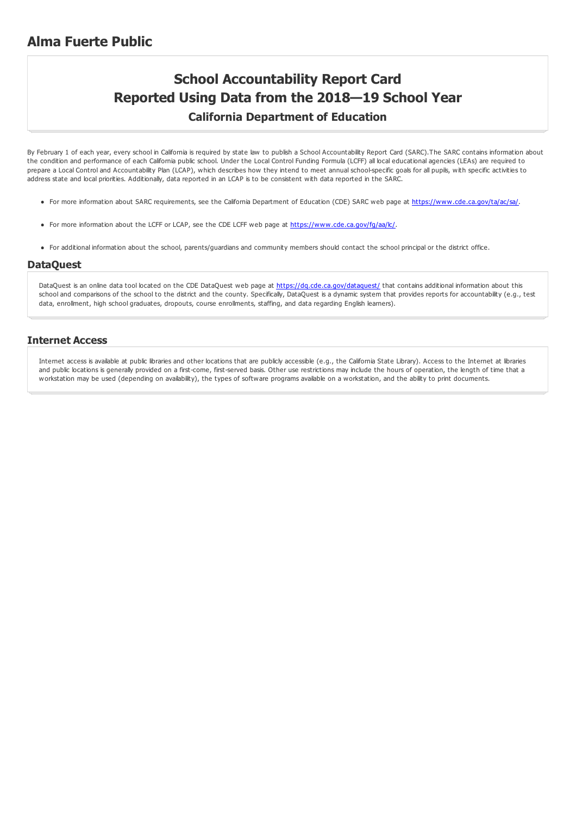## **Alma Fuerte Public**

# **School Accountability Report Card Reported Using Data from the 2018—19 School Year California Department of Education**

By February 1 of each year, every school in California is required by state law to publish a School Accountability Report Card (SARC).The SARC contains information about the condition and performance of each California public school. Under the Local Control Funding Formula (LCFF) all local educational agencies (LEAs) are required to prepare a Local Control and Accountability Plan (LCAP), which describes how they intend to meet annual school-specific goals for all pupils, with specific activities to address state and local priorities. Additionally, data reported in an LCAP is to be consistent with data reported in the SARC.

- For more information about SARC requirements, see the California Department of Education (CDE) SARC web page at <https://www.cde.ca.gov/ta/ac/sa/>.
- For more information about the LCFF or LCAP, see the CDE LCFF web page at <https://www.cde.ca.gov/fg/aa/lc/>.
- For additional information about the school, parents/guardians and community members should contact the school principal or the district office.

#### **DataQuest**

DataQuest is an online data tool located on the CDE DataQuest web page at <https://dq.cde.ca.gov/dataquest/> that contains additional information about this school and comparisons of the school to the district and the county. Specifically, DataQuest is a dynamic system that provides reports for accountability (e.g., test data, enrollment, high school graduates, dropouts, course enrollments, staffing, and data regarding English learners).

#### **Internet Access**

Internet access is available at public libraries and other locations that are publicly accessible (e.g., the California State Library). Access to the Internet at libraries and public locations is generally provided on a first-come, first-served basis. Other use restrictions may include the hours of operation, the length of time that a workstation may be used (depending on availability), the types of software programs available on a workstation, and the ability to print documents.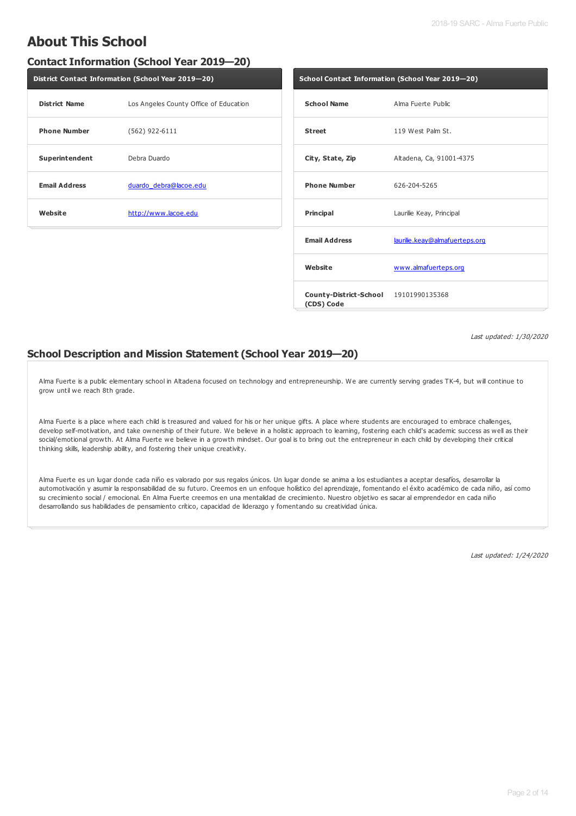## **About This School**

### **Contact Information (School Year 2019—20)**

| District Contact Information (School Year 2019-20) |                                        |  |  |
|----------------------------------------------------|----------------------------------------|--|--|
| <b>District Name</b>                               | Los Angeles County Office of Education |  |  |
| <b>Phone Number</b>                                | (562) 922-6111                         |  |  |
| Superintendent                                     | Debra Duardo                           |  |  |
| <b>Email Address</b>                               | duardo debra@lacoe.edu                 |  |  |
| Website                                            | http://www.lacoe.edu                   |  |  |

| School Contact Information (School Year 2019-20)    |                                |  |  |
|-----------------------------------------------------|--------------------------------|--|--|
| <b>School Name</b>                                  | Alma Fuerte Public             |  |  |
| <b>Street</b>                                       | 119 West Palm St.              |  |  |
| City, State, Zip                                    | Altadena, Ca, 91001-4375       |  |  |
| <b>Phone Number</b>                                 | 626-204-5265                   |  |  |
| Principal                                           | Laurilie Keay, Principal       |  |  |
| <b>Email Address</b>                                | laurilie.keay@almafuerteps.org |  |  |
| Website                                             | www.almafuerteps.org           |  |  |
| County-District-School 19101990135368<br>(CDS) Code |                                |  |  |

Last updated: 1/30/2020

### **School Description and Mission Statement (School Year 2019—20)**

Alma Fuerte is a public elementary school in Altadena focused on technology and entrepreneurship. We are currently serving grades TK-4, but will continue to grow until we reach 8th grade.

Alma Fuerte is a place where each child is treasured and valued for his or her unique gifts. A place where students are encouraged to embrace challenges, develop self-motivation, and take ownership of their future. We believe in a holistic approach to learning, fostering each child's academic success as well as their social/emotional growth. At Alma Fuerte we believe in a growth mindset. Our goal is to bring out the entrepreneur in each child by developing their critical thinking skills, leadership ability, and fostering their unique creativity.

Alma Fuerte es un lugar donde cada niño es valorado por sus regalos únicos. Un lugar donde se anima a los estudiantes a aceptar desafíos, desarrollar la automotivación y asumir la responsabilidad de su futuro. Creemos en un enfoque holístico del aprendizaje, fomentando el éxito académico de cada niño, así como su crecimiento social / emocional. En Alma Fuerte creemos en una mentalidad de crecimiento. Nuestro objetivo es sacar al emprendedor en cada niño desarrollando sus habilidades de pensamiento crítico, capacidad de liderazgo y fomentando su creatividad única.

Last updated: 1/24/2020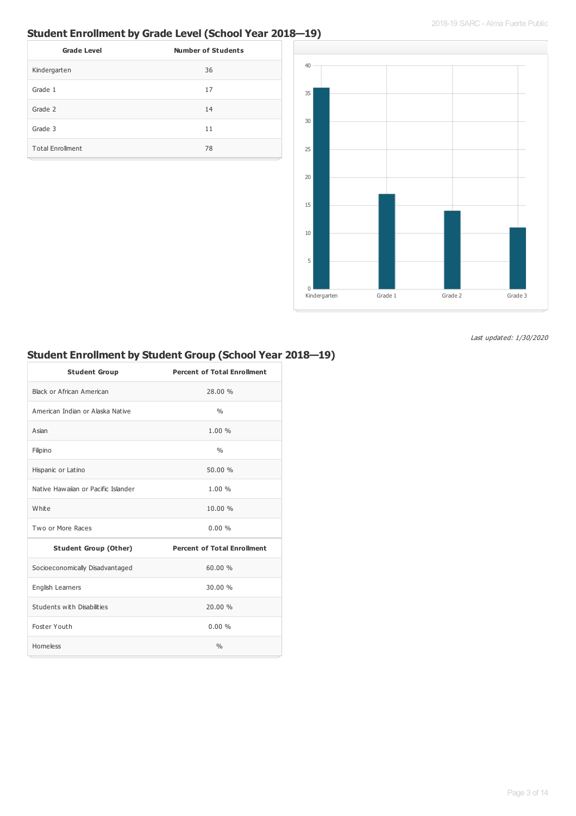### **Student Enrollment by Grade Level (School Year 2018—19)**

| <b>Grade Level</b>      | <b>Number of Students</b> |
|-------------------------|---------------------------|
| Kindergarten            | 36                        |
| Grade 1                 | 17                        |
| Grade 2                 | 14                        |
| Grade 3                 | 11                        |
| <b>Total Enrollment</b> | 78                        |



Last updated: 1/30/2020

### **Student Enrollment by Student Group (School Year 2018—19)**

| <b>Student Group</b>                | <b>Percent of Total Enrollment</b> |
|-------------------------------------|------------------------------------|
| Black or African American           | 28.00%                             |
| American Indian or Alaska Native    | 0/6                                |
| Asian                               | 1.00%                              |
| Filipino                            | $\frac{0}{0}$                      |
| Hispanic or Latino                  | 50.00%                             |
| Native Hawaijan or Pacific Islander | 1.00%                              |
| White                               | 10.00%                             |
| Two or More Races                   | 0.00%                              |
| <b>Student Group (Other)</b>        | <b>Percent of Total Enrollment</b> |
| Socioeconomically Disadvantaged     | 60.00%                             |
| English Learners                    | 30.00 %                            |
| Students with Disabilities          | 20.00 %                            |
| Foster Youth                        | 0.00%                              |
|                                     |                                    |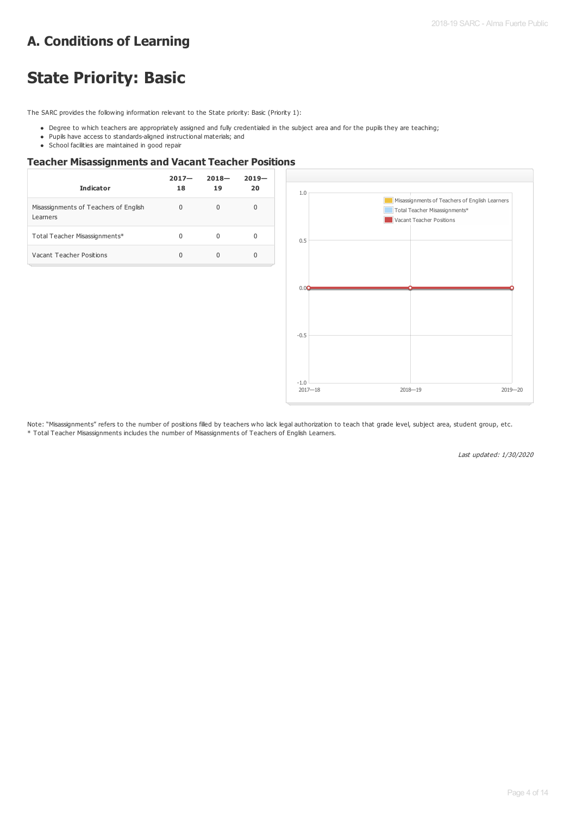## **A. Conditions of Learning**

# **State Priority: Basic**

The SARC provides the following information relevant to the State priority: Basic (Priority 1):

- . Degree to which teachers are appropriately assigned and fully credentialed in the subject area and for the pupils they are teaching;
- Pupils have access to standards-aligned instructional materials; and
- School facilities are maintained in good repair

### **Teacher Misassignments and Vacant Teacher Positions**

| <b>Indicator</b>                                  | $2017 -$<br>18 | $2018 -$<br>19 | $2019-$<br>20 |
|---------------------------------------------------|----------------|----------------|---------------|
| Misassignments of Teachers of English<br>Learners | <sup>0</sup>   | $\Omega$       | 0             |
| Total Teacher Misassignments*                     | O              | O              | 0             |
| Vacant Teacher Positions                          | U              | <sup>0</sup>   | 0             |



Note: "Misassignments" refers to the number of positions filled by teachers who lack legal authorization to teach that grade level, subject area, student group, etc. \* Total Teacher Misassignments includes the number of Misassignments of Teachers of English Learners.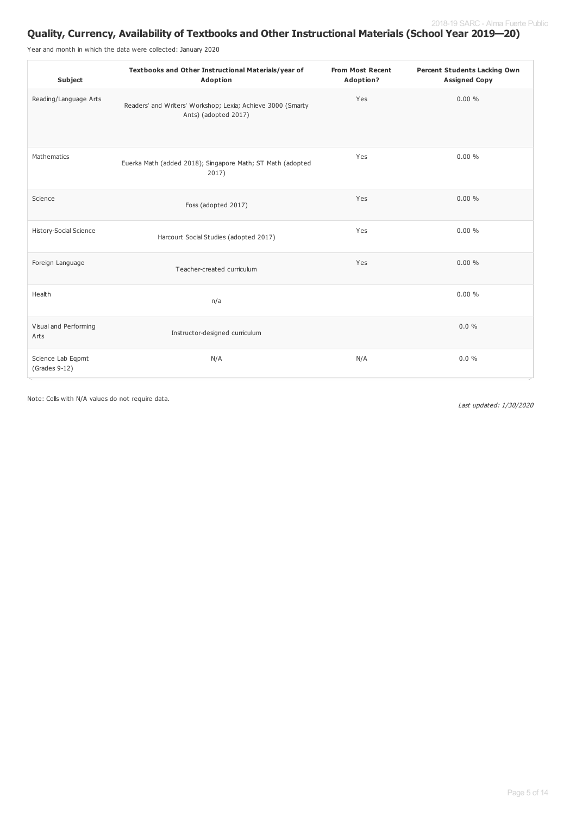### **Quality, Currency, Availability of Textbooks and Other Instructional Materials (School Year 2019—20)**

Year and month in which the data were collected: January 2020

| Subject                            | Textbooks and Other Instructional Materials/year of<br>Adoption                     | <b>From Most Recent</b><br>Adoption? | <b>Percent Students Lacking Own</b><br><b>Assigned Copy</b> |
|------------------------------------|-------------------------------------------------------------------------------------|--------------------------------------|-------------------------------------------------------------|
| Reading/Language Arts              | Readers' and Writers' Workshop; Lexia; Achieve 3000 (Smarty<br>Ants) (adopted 2017) | Yes                                  | 0.00%                                                       |
| Mathematics                        | Euerka Math (added 2018); Singapore Math; ST Math (adopted<br>2017)                 | Yes                                  | 0.00%                                                       |
| Science                            | Foss (adopted 2017)                                                                 | Yes                                  | 0.00%                                                       |
| History-Social Science             | Harcourt Social Studies (adopted 2017)                                              | Yes                                  | 0.00%                                                       |
| Foreign Language                   | Teacher-created curriculum                                                          | Yes                                  | 0.00%                                                       |
| Health                             | n/a                                                                                 |                                      | 0.00%                                                       |
| Visual and Performing<br>Arts      | Instructor-designed curriculum                                                      |                                      | $0.0 \%$                                                    |
| Science Lab Eqpmt<br>(Grades 9-12) | N/A                                                                                 | N/A                                  | 0.0%                                                        |

Note: Cells with N/A values do not require data.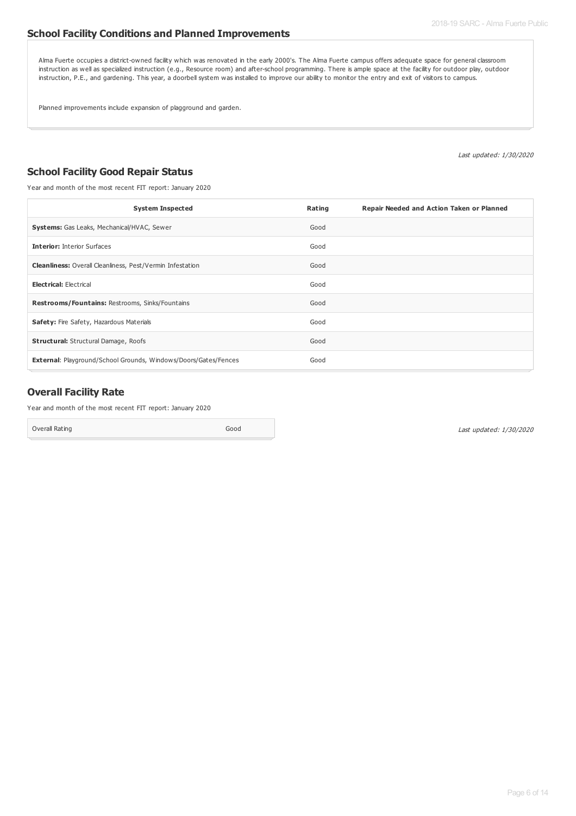### **School Facility Conditions and Planned Improvements**

Alma Fuerte occupies a district-owned facility which was renovated in the early 2000's. The Alma Fuerte campus offers adequate space for general classroom instruction as well as specialized instruction (e.g., Resource room) and after-school programming. There is ample space at the facility for outdoor play, outdoor instruction, P.E., and gardening. This year, a doorbell system was installed to improve our ability to monitor the entry and exit of visitors to campus.

Planned improvements include expansion of plagground and garden.

Last updated: 1/30/2020

### **School Facility Good Repair Status**

Year and month of the most recent FIT report: January 2020

| <b>System Inspected</b>                                                | Rating | Repair Needed and Action Taken or Planned |
|------------------------------------------------------------------------|--------|-------------------------------------------|
| <b>Systems:</b> Gas Leaks, Mechanical/HVAC, Sewer                      | Good   |                                           |
| <b>Interior: Interior Surfaces</b>                                     | Good   |                                           |
| <b>Cleanliness:</b> Overall Cleanliness, Pest/Vermin Infestation       | Good   |                                           |
| <b>Electrical: Electrical</b>                                          | Good   |                                           |
| <b>Restrooms/Fountains: Restrooms, Sinks/Fountains</b>                 | Good   |                                           |
| <b>Safety:</b> Fire Safety, Hazardous Materials                        | Good   |                                           |
| <b>Structural:</b> Structural Damage, Roofs                            | Good   |                                           |
| <b>External: Playground/School Grounds, Windows/Doors/Gates/Fences</b> | Good   |                                           |

### **Overall Facility Rate**

Year and month of the most recent FIT report: January 2020

Overall Rating Good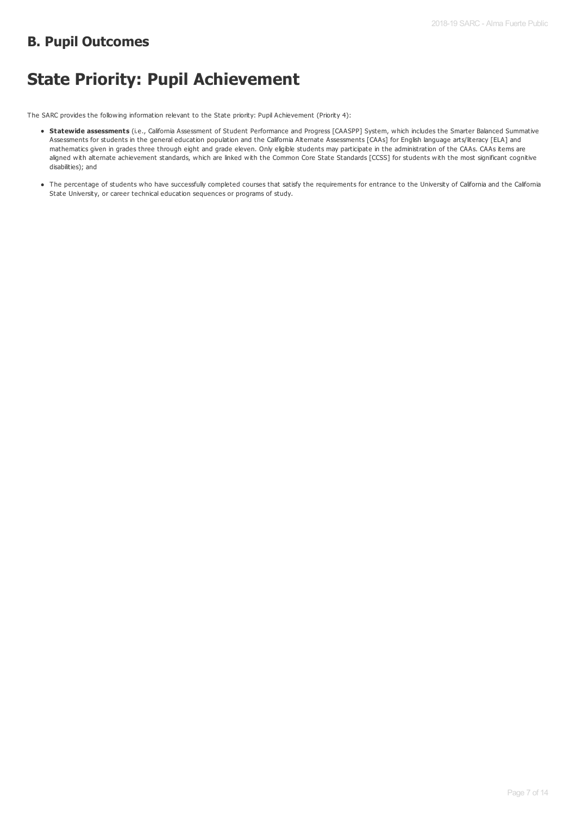## **B. Pupil Outcomes**

# **State Priority: Pupil Achievement**

The SARC provides the following information relevant to the State priority: Pupil Achievement (Priority 4):

- **Statewide assessments** (i.e., California Assessment of Student Performance and Progress [CAASPP] System, which includes the Smarter Balanced Summative Assessments for students in the general education population and the California Alternate Assessments [CAAs] for English language arts/literacy [ELA] and mathematics given in grades three through eight and grade eleven. Only eligible students may participate in the administration of the CAAs. CAAs items are aligned with alternate achievement standards, which are linked with the Common Core State Standards [CCSS] for students with the most significant cognitive disabilities); and
- The percentage of students who have successfully completed courses that satisfy the requirements for entrance to the University of California and the California State University, or career technical education sequences or programs of study.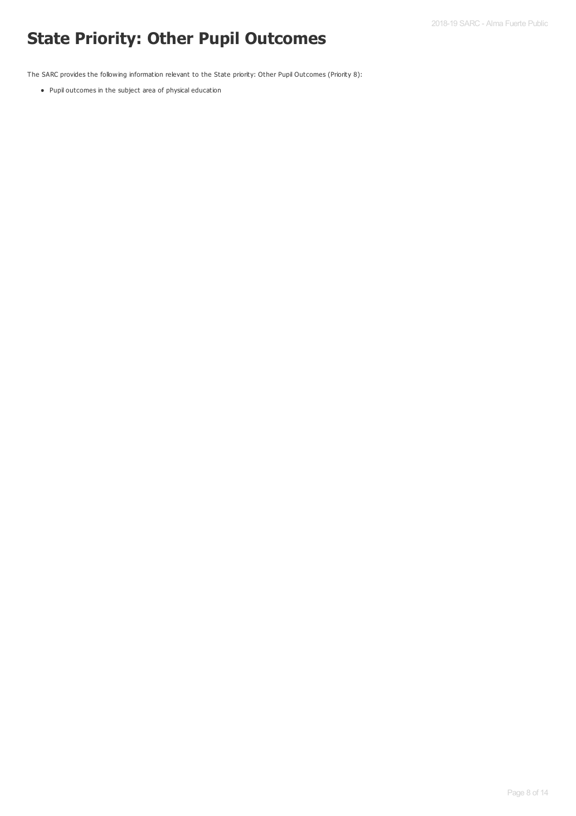# **State Priority: Other Pupil Outcomes**

The SARC provides the following information relevant to the State priority: Other Pupil Outcomes (Priority 8):

Pupil outcomes in the subject area of physical education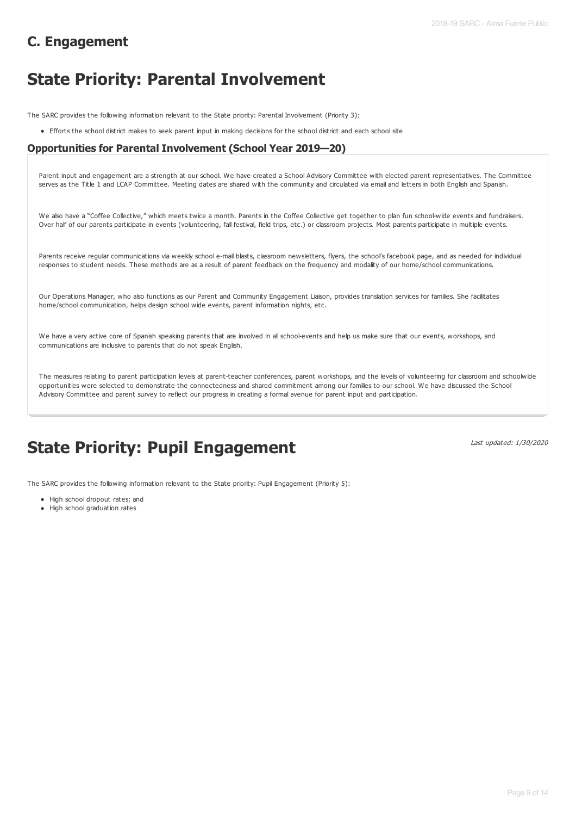# **C. Engagement**

# **State Priority: Parental Involvement**

The SARC provides the following information relevant to the State priority: Parental Involvement (Priority 3):

Efforts the school district makes to seek parent input in making decisions for the school district and each school site

#### **Opportunities for Parental Involvement (School Year 2019—20)**

Parent input and engagement are a strength at our school. We have created a School Advisory Committee with elected parent representatives. The Committee serves as the Title 1 and LCAP Committee. Meeting dates are shared with the community and circulated via email and letters in both English and Spanish.

We also have a "Coffee Collective," which meets twice a month. Parents in the Coffee Collective get together to plan fun school-wide events and fundraisers. Over half of our parents participate in events (volunteering, fall festival, field trips, etc.) or classroom projects. Most parents participate in multiple events.

Parents receive regular communications via weekly school e-mail blasts, classroom newsletters, flyers, the school's facebook page, and as needed for individual responses to student needs. These methods are as a result of parent feedback on the frequency and modality of our home/school communications.

Our Operations Manager, who also functions as our Parent and Community Engagement Liaison, provides translation services for families. She facilitates home/school communication, helps design school wide events, parent information nights, etc.

We have a very active core of Spanish speaking parents that are involved in all school-events and help us make sure that our events, workshops, and communications are inclusive to parents that do not speak English.

The measures relating to parent participation levels at parent-teacher conferences, parent workshops, and the levels of volunteering for classroom and schoolwide opportunities were selected to demonstrate the connectedness and shared commitment among our families to our school. We have discussed the School Advisory Committee and parent survey to reflect our progress in creating a formal avenue for parent input and participation.

# **State Priority: Pupil Engagement**

Last updated: 1/30/2020

The SARC provides the following information relevant to the State priority: Pupil Engagement (Priority 5):

- High school dropout rates; and
- High school graduation rates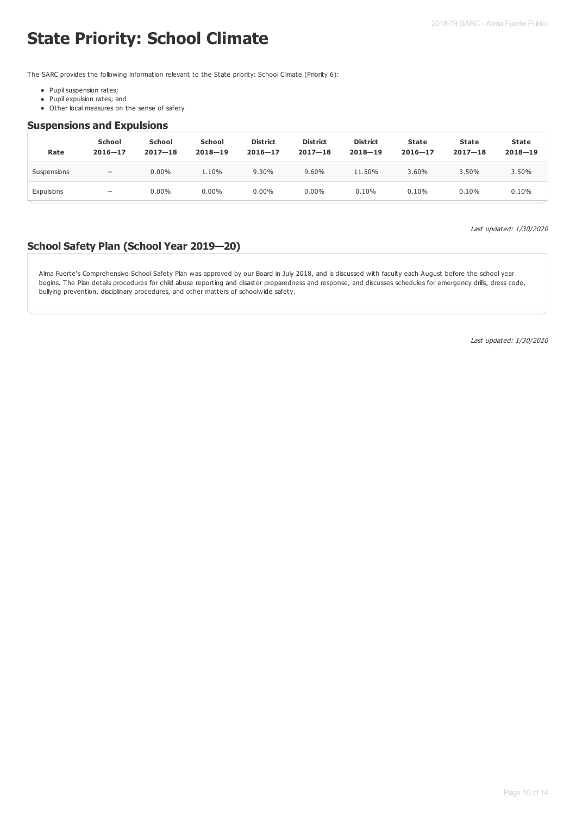# **State Priority: School Climate**

The SARC provides the following information relevant to the State priority: School Climate (Priority 6):

- Pupil suspension rates;
- Pupil expulsion rates; and
- Other local measures on the sense of safety

#### **Suspensions and Expulsions**

| Rate        | <b>School</b><br>$2016 - 17$ | School<br>$2017 - 18$ | School<br>$2018 - 19$ | <b>District</b><br>$2016 - 17$ | <b>District</b><br>$2017 - 18$ | <b>District</b><br>$2018 - 19$ | <b>State</b><br>$2016 - 17$ | <b>State</b><br>$2017 - 18$ | State<br>$2018 - 19$ |
|-------------|------------------------------|-----------------------|-----------------------|--------------------------------|--------------------------------|--------------------------------|-----------------------------|-----------------------------|----------------------|
| Suspensions | $\hspace{0.05cm}$            | $0.00\%$              | 1.10%                 | 9.30%                          | 9.60%                          | 11.50%                         | 3.60%                       | 3.50%                       | 3.50%                |
| Expulsions  | $\overline{\phantom{a}}$     | $0.00\%$              | $0.00\%$              | $0.00\%$                       | $0.00\%$                       | 0.10%                          | 0.10%                       | 0.10%                       | 0.10%                |

Last updated: 1/30/2020

### **School Safety Plan (School Year 2019—20)**

Alma Fuerte's Comprehensive School Safety Plan was approved by our Board in July 2018, and is discussed with faculty each August before the school year begins. The Plan details procedures for child abuse reporting and disaster preparedness and response, and discusses schedules for emergency drills, dress code, bullying prevention, disciplinary procedures, and other matters of schoolwide safety.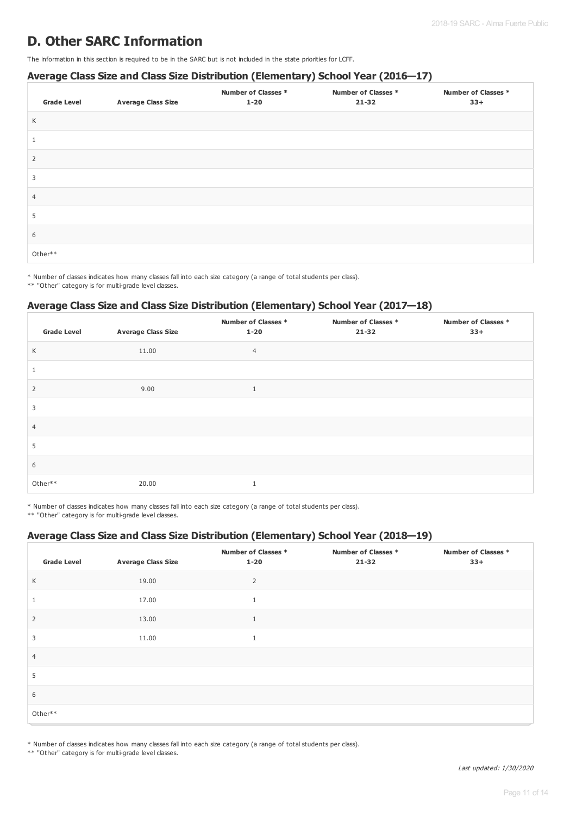## **D. Other SARC Information**

The information in this section is required to be in the SARC but is not included in the state priorities for LCFF.

### **Average Class Size and Class Size Distribution (Elementary) School Year (2016—17)**

| <b>Grade Level</b> | <b>Average Class Size</b> | Number of Classes *<br>$1 - 20$ | Number of Classes *<br>$21 - 32$ | <b>Number of Classes *</b><br>$33+$ |
|--------------------|---------------------------|---------------------------------|----------------------------------|-------------------------------------|
| K                  |                           |                                 |                                  |                                     |
| 1                  |                           |                                 |                                  |                                     |
| $\overline{2}$     |                           |                                 |                                  |                                     |
| 3                  |                           |                                 |                                  |                                     |
| $\overline{4}$     |                           |                                 |                                  |                                     |
| 5                  |                           |                                 |                                  |                                     |
| 6                  |                           |                                 |                                  |                                     |
| Other**            |                           |                                 |                                  |                                     |

\* Number of classes indicates how many classes fall into each size category (a range of total students per class).

\*\* "Other" category is for multi-grade level classes.

### **Average Class Size and Class Size Distribution (Elementary) School Year (2017—18)**

| <b>Grade Level</b> | <b>Average Class Size</b> | Number of Classes *<br>$1 - 20$ | Number of Classes *<br>$21 - 32$ | <b>Number of Classes *</b><br>$33+$ |
|--------------------|---------------------------|---------------------------------|----------------------------------|-------------------------------------|
| K                  | 11.00                     | $\overline{4}$                  |                                  |                                     |
|                    |                           |                                 |                                  |                                     |
| 2                  | 9.00                      | 1                               |                                  |                                     |
| 3                  |                           |                                 |                                  |                                     |
| $\overline{4}$     |                           |                                 |                                  |                                     |
| 5                  |                           |                                 |                                  |                                     |
| 6                  |                           |                                 |                                  |                                     |
| Other**            | 20.00                     | $\mathbf{1}$                    |                                  |                                     |

\* Number of classes indicates how many classes fall into each size category (a range of total students per class).

\*\* "Other" category is for multi-grade level classes.

#### **Average Class Size and Class Size Distribution (Elementary) School Year (2018—19)**

| <b>Grade Level</b> | <b>Average Class Size</b> | <b>Number of Classes *</b><br>$1 - 20$ | Number of Classes *<br>$21 - 32$ | <b>Number of Classes *</b><br>$33+$ |
|--------------------|---------------------------|----------------------------------------|----------------------------------|-------------------------------------|
| K                  | 19.00                     | 2                                      |                                  |                                     |
| 1                  | 17.00                     | $\mathbf{1}$                           |                                  |                                     |
| 2                  | 13.00                     | $\mathbf{1}$                           |                                  |                                     |
| 3                  | 11.00                     | $\mathbf{1}$                           |                                  |                                     |
| $\overline{4}$     |                           |                                        |                                  |                                     |
| 5                  |                           |                                        |                                  |                                     |
| 6                  |                           |                                        |                                  |                                     |
| Other**            |                           |                                        |                                  |                                     |

\* Number of classes indicates how many classes fall into each size category (a range of total students per class).

\*\* "Other" category is for multi-grade level classes.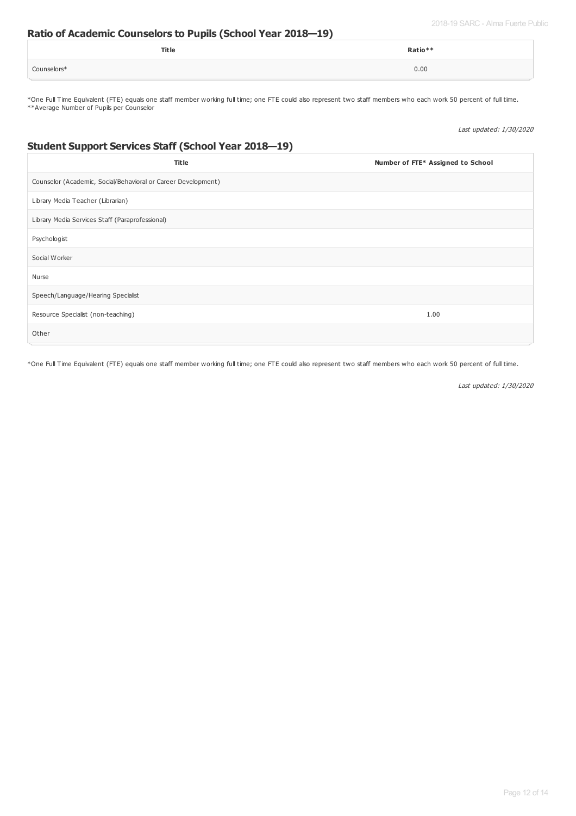### **Ratio of Academic Counselors to Pupils (School Year 2018—19)**

|             | <b>Title</b> | Ratio** |
|-------------|--------------|---------|
| Counselors* |              | 0.00    |

\*One Full Time Equivalent (FTE) equals one staff member working full time; one FTE could also represent two staff members who each work 50 percent of full time. \*\*Average Number of Pupils per Counselor

Last updated: 1/30/2020

### **Student Support Services Staff (School Year 2018—19)**

| <b>Title</b>                                                  | Number of FTE* Assigned to School |  |
|---------------------------------------------------------------|-----------------------------------|--|
| Counselor (Academic, Social/Behavioral or Career Development) |                                   |  |
| Library Media Teacher (Librarian)                             |                                   |  |
| Library Media Services Staff (Paraprofessional)               |                                   |  |
| Psychologist                                                  |                                   |  |
| Social Worker                                                 |                                   |  |
| Nurse                                                         |                                   |  |
| Speech/Language/Hearing Specialist                            |                                   |  |
| Resource Specialist (non-teaching)                            | 1.00                              |  |
| Other                                                         |                                   |  |

\*One Full Time Equivalent (FTE) equals one staff member working full time; one FTE could also represent two staff members who each work 50 percent of full time.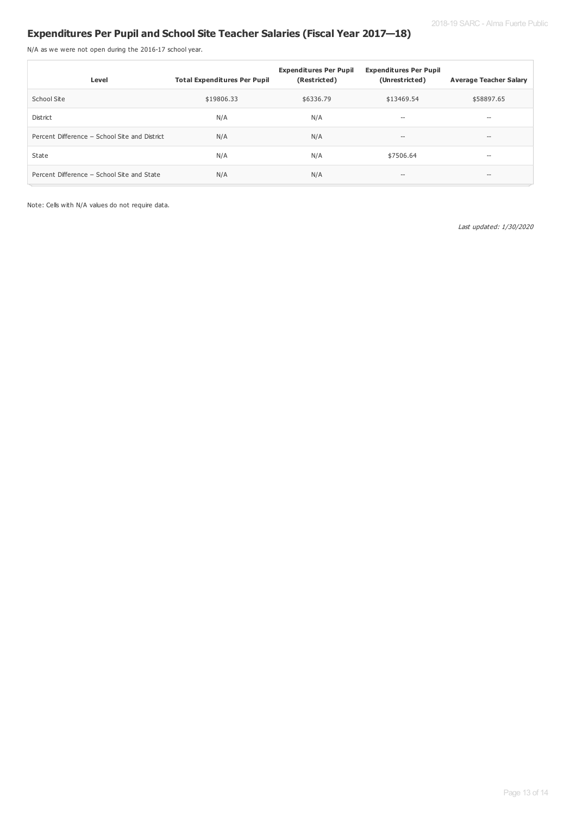### **Expenditures Per Pupil and School Site Teacher Salaries (Fiscal Year 2017—18)**

N/A as we were not open during the 2016-17 school year.

| Level                                         | <b>Total Expenditures Per Pupil</b> | <b>Expenditures Per Pupil</b><br>(Restricted) | <b>Expenditures Per Pupil</b><br>(Unrestricted) | <b>Average Teacher Salary</b>         |
|-----------------------------------------------|-------------------------------------|-----------------------------------------------|-------------------------------------------------|---------------------------------------|
| School Site                                   | \$19806.33                          | \$6336.79                                     | \$13469.54                                      | \$58897.65                            |
| <b>District</b>                               | N/A                                 | N/A                                           | $- -$                                           | $-$                                   |
| Percent Difference - School Site and District | N/A                                 | N/A                                           | $\hspace{0.05cm}$ – $\hspace{0.05cm}$           | $- -$                                 |
| State                                         | N/A                                 | N/A                                           | \$7506.64                                       | $\hspace{0.05cm}$ – $\hspace{0.05cm}$ |
| Percent Difference - School Site and State    | N/A                                 | N/A                                           | $\hspace{0.05cm} \ldots$                        | $\qquad \qquad -$                     |

Note: Cells with N/A values do not require data.